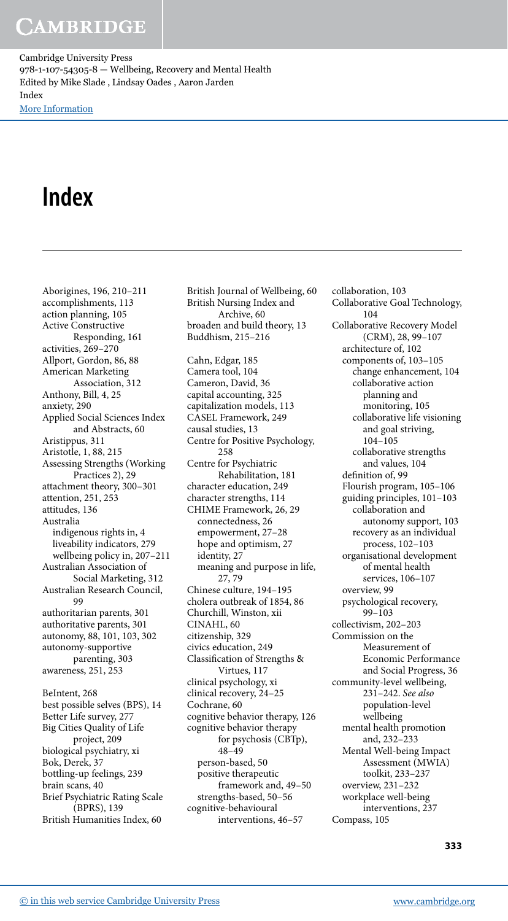## **CAMBRIDGE**

Cambridge University Press 978-1-107-54305-8 — Wellbeing, Recovery and Mental Health Edited by Mike Slade , Lindsay Oades , Aaron Jarden Index [More Information](www.cambridge.org/9781107543058)

## **Index**

 Aborigines, 196 , 210–211 accomplishments, 113 action planning, 105 Active Constructive Responding, 161 activities, 269–270 Allport, Gordon, 86, 88 American Marketing Association, 312 Anthony, Bill, 4, 25 anxiety, 290 Applied Social Sciences Index and Abstracts, 60 Aristippus, 311 Aristotle, 1, 88, 215 Assessing Strengths (Working Practices 2), 29 attachment theory, 300–301 attention, 251, 253 attitudes, 136 Australia indigenous rights in, 4 liveability indicators, 279 wellbeing policy in, 207–211 Australian Association of Social Marketing, 312 Australian Research Council, 99 authoritarian parents, 301 authoritative parents, 301 autonomy, 88, 101, 103, 302 autonomy-supportive parenting, 303 awareness, 251, 253 BeIntent, 268 best possible selves (BPS), 14 Better Life survey, 277 Big Cities Quality of Life project, 209 biological psychiatry, xi Bok, Derek, 37 bottling-up feelings, 239 brain scans, 40 Brief Psychiatric Rating Scale (BPRS), 139 British Humanities Index, 60

 British Journal of Wellbeing, 60 British Nursing Index and Archive, 60 broaden and build theory, 13 Buddhism, 215–216 Cahn, Edgar, 185 Camera tool, 104 Cameron, David, 36 capital accounting, 325 capitalization models, 113 CASEL Framework, 249 causal studies, 13 Centre for Positive Psychology, 258 Centre for Psychiatric Rehabilitation, 181 character education, 249 character strengths, 114 CHIME Framework, 26, 29 connectedness, 26 empowerment, 27–28 hope and optimism, 27 identity, 27 meaning and purpose in life, 27 , 79 Chinese culture, 194–195 cholera outbreak of 1854, 86 Churchill, Winston, xii CINAHL, 60 citizenship, 329 civics education, 249 Classification of Strengths & Virtues, 117 clinical psychology, xi clinical recovery, 24–25 Cochrane, 60 cognitive behavior therapy, 126 cognitive behavior therapy for psychosis (CBTp), 48–49 person-based, 50 positive therapeutic framework and, 49–50 strengths-based, 50–56 cognitive-behavioural interventions, 46–57

 collaboration, 103 Collaborative Goal Technology, 104 Collaborative Recovery Model (CRM), 28, 99-107 architecture of, 102 components of, 103–105 change enhancement, 104 collaborative action planning and monitoring, 105 collaborative life visioning and goal striving, 104–105 collaborative strengths and values, 104 definition of, 99 Flourish program, 105–106 guiding principles, 101–103 collaboration and autonomy support, 103 recovery as an individual process, 102–103 organisational development of mental health services, 106–107 overview, 99 psychological recovery,  $99 - 103$  collectivism, 202–203 Commission on the Measurement of Economic Performance and Social Progress, 36 community-level wellbeing, 231–242 . *See also* population-level wellbeing mental health promotion and, 232–233 Mental Well-being Impact Assessment (MWIA) toolkit, 233–237 overview, 231–232 workplace well-being interventions, 237 Compass, 105

**333**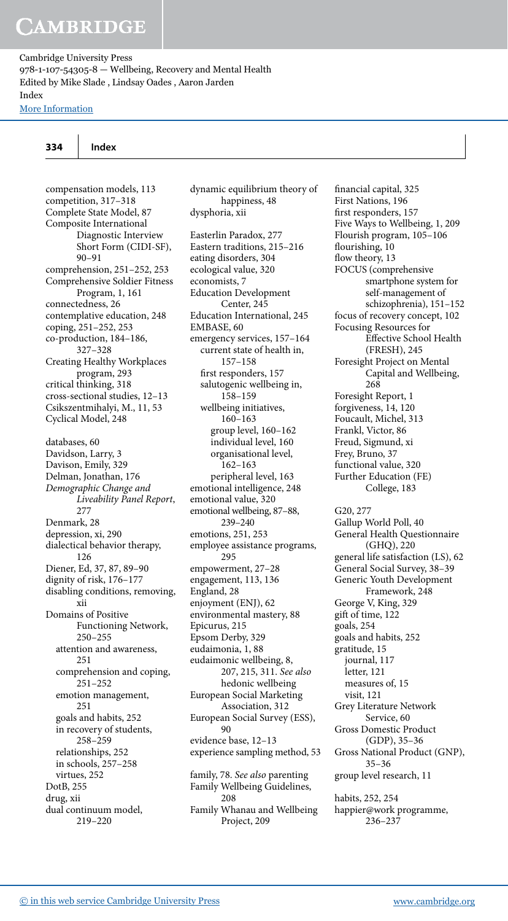### **334 Index**

dysphoria, xii

 dynamic equilibrium theory of happiness, 48

 compensation models, 113 competition, 317–318 Complete State Model, 87 Composite International Diagnostic Interview Short Form (CIDI-SF), 90–91 comprehension, 251-252, 253 Comprehensive Soldier Fitness Program, 1, 161 connectedness, 26 contemplative education, 248 coping, 251-252, 253 co-production, 184-186, 327–328 Creating Healthy Workplaces program, 293 critical thinking, 318 cross-sectional studies, 12–13 Csikszentmihalyi, M., 11, 53 Cyclical Model, 248 databases, 60 Davidson, Larry, 3 Davison, Emily, 329 Delman, Jonathan, 176 *Demographic Change and Liveability Panel Report* , 277 Denmark, 28 depression, xi, 290 dialectical behavior therapy, 126 Diener, Ed, 37, 87, 89-90 dignity of risk, 176–177 disabling conditions, removing, xii Domains of Positive Functioning Network, 250–255 attention and awareness, 251 comprehension and coping, 251–252 emotion management, 251 goals and habits, 252 in recovery of students, 258–259 relationships, 252 in schools, 257–258 virtues, 252 DotB, 255 drug, xii dual continuum model, 219–220

 Easterlin Paradox, 277 Eastern traditions, 215–216 eating disorders, 304 ecological value, 320 economists, 7 Education Development Center, 245 Education International, 245 EMBASE, 60 emergency services, 157–164 current state of health in, 157–158 first responders, 157 salutogenic wellbeing in, 158–159 wellbeing initiatives, 160–163 group level, 160–162 individual level, 160 organisational level, 162–163 peripheral level, 163 emotional intelligence, 248 emotional value, 320 emotional wellbeing, 87-88, 239–240 emotions, 251, 253 employee assistance programs, 295 empowerment, 27–28 engagement, 113, 136 England, 28 enjoyment (ENJ), 62 environmental mastery, 88 Epicurus, 215 Epsom Derby, 329 eudaimonia, 1, 88 eudaimonic wellbeing, 8, 207 , 215 , 311 . *See also* hedonic wellbeing European Social Marketing Association, 312 European Social Survey (ESS),  $90$  evidence base, 12–13 experience sampling method, 53 family, 78 . *See also* parenting Family Wellbeing Guidelines, 208 Family Whanau and Wellbeing Project, 209

financial capital, 325 First Nations, 196 first responders, 157 Five Ways to Wellbeing, 1, 209 Flourish program, 105–106 flourishing, 10 flow theory, 13 FOCUS (comprehensive smartphone system for self-management of schizophrenia), 151–152 focus of recovery concept, 102 Focusing Resources for Effective School Health (FRESH), 245 Foresight Project on Mental Capital and Wellbeing, 268 Foresight Report, 1 forgiveness, 14, 120 Foucault, Michel, 313 Frankl, Victor, 86 Freud, Sigmund, xi Frey, Bruno, 37 functional value, 320 Further Education (FE) College, 183 G20, 277 Gallup World Poll, 40 General Health Questionnaire (GHQ), 220 general life satisfaction (LS), 62 General Social Survey, 38–39 Generic Youth Development Framework, 248 George V, King, 329 git of time, 122 goals, 254 goals and habits, 252 gratitude, 15 journal, 117 letter, 121 measures of, 15 visit, 121 Grey Literature Network Service, 60 Gross Domestic Product (GDP), 35–36 Gross National Product (GNP), 35–36 group level research, 11 habits, 252, 254 happier@work programme,

236–237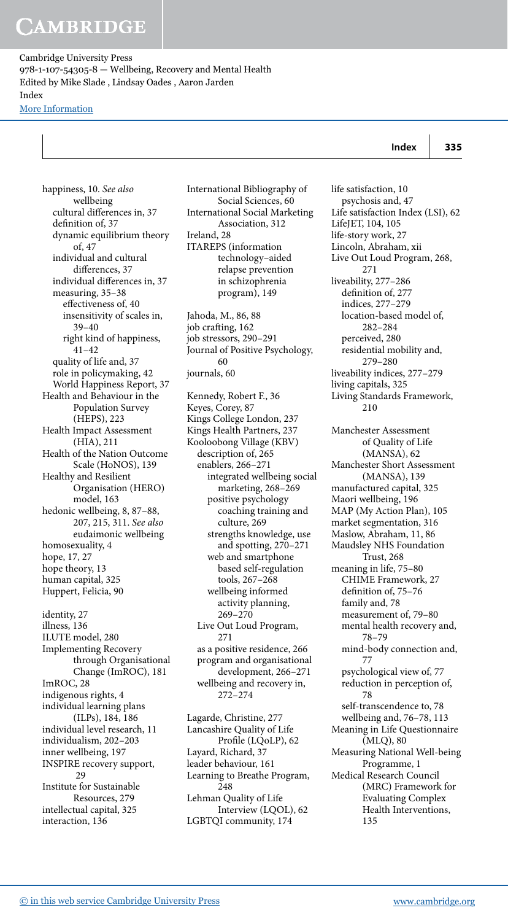| Index | 335 |
|-------|-----|
|       |     |

 happiness, 10 . *See also* wellbeing cultural differences in, 37 definition of, 37 dynamic equilibrium theory of, 47 individual and cultural differences, 37 individual differences in, 37 measuring, 35–38 effectiveness of, 40 insensitivity of scales in, 39–40 right kind of happiness, 41–42 quality of life and, 37 role in policymaking, 42 World Happiness Report, 37 Health and Behaviour in the Population Survey (HEPS), 223 Health Impact Assessment (HIA), 211 Health of the Nation Outcome Scale (HoNOS), 139 Healthy and Resilient Organisation (HERO) model, 163 hedonic wellbeing, 8, 87-88, 207 , 215 , 311 . *See also* eudaimonic wellbeing homosexuality, 4 hope, 17, 27 hope theory, 13 human capital, 325 Huppert, Felicia, 90 identity, 27 illness, 136 ILUTE model, 280 Implementing Recovery through Organisational Change (ImROC), 181 ImROC, 28 indigenous rights, 4 individual learning plans (ILPs), 184, 186 individual level research, 11 individualism, 202–203 inner wellbeing, 197 INSPIRE recovery support, 29 Institute for Sustainable Resources, 279 intellectual capital, 325 interaction, 136

 International Bibliography of Social Sciences, 60 International Social Marketing Association, 312 Ireland, 28 ITAREPS (information technology–aided relapse prevention in schizophrenia program), 149 Jahoda, M., 86, 88

job crafting, 162 job stressors, 290–291 Journal of Positive Psychology, 60 journals, 60

 Kennedy, Robert F., 36 Keyes, Corey, 87 Kings College London, 237 Kings Health Partners, 237 Kooloobong Village (KBV) description of, 265 enablers, 266–271 integrated wellbeing social marketing, 268–269 positive psychology coaching training and culture, 269 strengths knowledge, use and spotting, 270–271 web and smartphone based self-regulation tools, 267–268 wellbeing informed activity planning, 269–270 Live Out Loud Program, 271 as a positive residence, 266 program and organisational development, 266–271 wellbeing and recovery in, 272–274

 Lagarde, Christine, 277 Lancashire Quality of Life Profile (LQoLP), 62 Layard, Richard, 37 leader behaviour, 161 Learning to Breathe Program, 248 Lehman Quality of Life Interview (LQOL), 62 LGBTQI community, 174

 life satisfaction, 10 psychosis and, 47 Life satisfaction Index (LSI), 62 LifeJET, 104, 105 life-story work, 27 Lincoln, Abraham, xii Live Out Loud Program, 268, 271 liveability, 277–286 definition of, 277 indices, 277–279 location-based model of, 282–284 perceived, 280 residential mobility and, 279–280 liveability indices, 277–279 living capitals, 325 Living Standards Framework, 210 Manchester Assessment of Quality of Life (MANSA), 62 Manchester Short Assessment (MANSA), 139 manufactured capital, 325 Maori wellbeing, 196 MAP (My Action Plan), 105 market segmentation, 316 Maslow, Abraham, 11, 86 Maudsley NHS Foundation Trust, 268 meaning in life, 75–80 CHIME Framework, 27 definition of, 75-76 family and, 78 measurement of, 79–80 mental health recovery and, 78–79 mind-body connection and, 77 psychological view of, 77 reduction in perception of, 78 self-transcendence to, 78 wellbeing and, 76-78, 113 Meaning in Life Questionnaire (MLQ), 80 Measuring National Well-being Programme, 1 Medical Research Council (MRC) Framework for Evaluating Complex Health Interventions, 135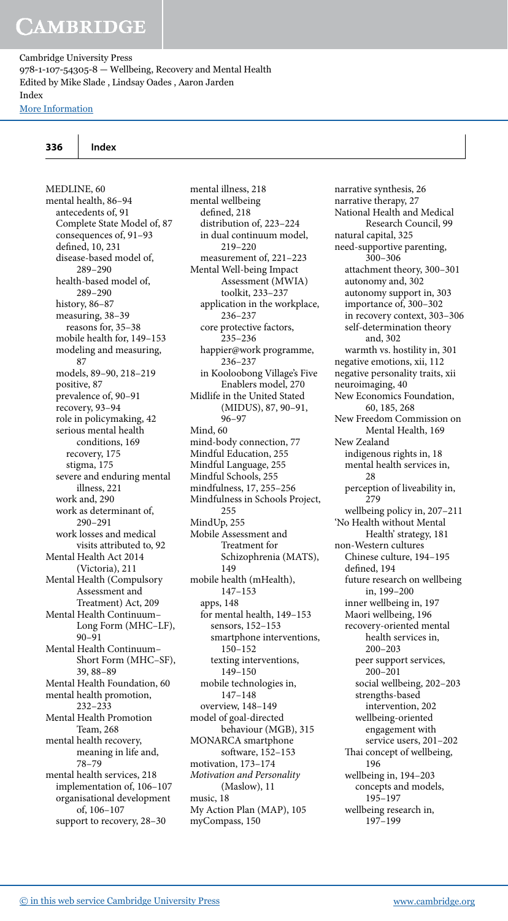### **336 Index**

 MEDLINE, 60 mental health, 86–94 antecedents of, 91 Complete State Model of, 87 consequences of, 91–93 defined, 10, 231 disease-based model of, 289–290 health-based model of, 289–290 history, 86–87 measuring, 38–39 reasons for, 35–38 mobile health for, 149–153 modeling and measuring, 87 models, 89-90, 218-219 positive, 87 prevalence of, 90–91 recovery, 93–94 role in policymaking, 42 serious mental health conditions, 169 recovery, 175 stigma, 175 severe and enduring mental illness, 221 work and, 290 work as determinant of, 290–291 work losses and medical visits attributed to, 92 Mental Health Act 2014 (Victoria), 211 Mental Health (Compulsory Assessment and Treatment) Act, 209 Mental Health Continuum– Long Form (MHC–LF), 90–91 Mental Health Continuum– Short Form (MHC–SF), 39 , 88–89 Mental Health Foundation, 60 mental health promotion, 232–233 Mental Health Promotion Team, 268 mental health recovery, meaning in life and, 78–79 mental health services, 218 implementation of, 106–107 organisational development of, 106–107 support to recovery, 28–30

 mental illness, 218 mental wellbeing defined, 218 distribution of, 223–224 in dual continuum model, 219–220 measurement of, 221–223 Mental Well-being Impact Assessment (MWIA) toolkit, 233–237 application in the workplace, 236–237 core protective factors, 235–236 happier@work programme, 236–237 in Kooloobong Village's Five Enablers model, 270 Midlife in the United Stated (MIDUS), 87, 90-91, 96–97 Mind, 60 mind-body connection, 77 Mindful Education, 255 Mindful Language, 255 Mindful Schools, 255 mindfulness, 17 , 255–256 Mindfulness in Schools Project, 255 MindUp, 255 Mobile Assessment and Treatment for Schizophrenia (MATS), 149 mobile health (mHealth), 147–153 apps, 148 for mental health, 149–153 sensors, 152–153 smartphone interventions, 150–152 texting interventions, 149–150 mobile technologies in, 147–148 overview, 148–149 model of goal-directed behaviour (MGB), 315 MONARCA smartphone software, 152-153 motivation, 173–174 *Motivation and Personality* (Maslow), 11 music, 18 My Action Plan (MAP), 105 myCompass, 150

 narrative synthesis, 26 narrative therapy, 27 National Health and Medical Research Council, 99 natural capital, 325 need-supportive parenting, 300–306 attachment theory, 300–301 autonomy and, 302 autonomy support in, 303 importance of, 300–302 in recovery context, 303–306 self-determination theory and, 302 warmth vs. hostility in, 301 negative emotions, xii, 112 negative personality traits, xii neuroimaging, 40 New Economics Foundation, 60, 185, 268 New Freedom Commission on Mental Health, 169 New Zealand indigenous rights in, 18 mental health services in, 28 perception of liveability in, 279 wellbeing policy in, 207–211 'No Health without Mental Health' strategy, 181 non-Western cultures Chinese culture, 194–195 defined, 194 future research on wellbeing in, 199–200 inner wellbeing in, 197 Maori wellbeing, 196 recovery-oriented mental health services in, 200–203 peer support services, 200–201 social wellbeing, 202–203 strengths-based intervention, 202 wellbeing-oriented engagement with service users, 201–202 Thai concept of wellbeing, 196 wellbeing in, 194–203 concepts and models, 195–197 wellbeing research in, 197–199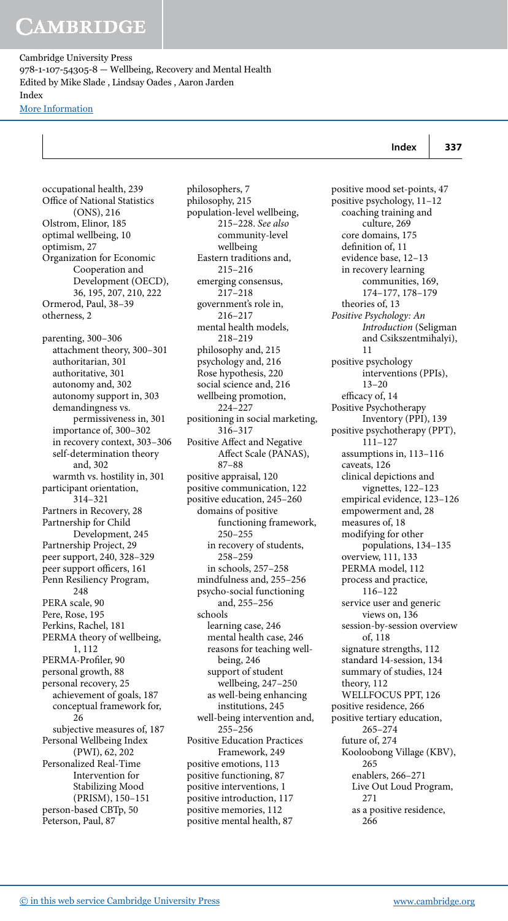## **CAMBRIDGE**

Cambridge University Press 978-1-107-54305-8 — Wellbeing, Recovery and Mental Health Edited by Mike Slade , Lindsay Oades , Aaron Jarden Index [More Information](www.cambridge.org/9781107543058)

# **Index 337**

 occupational health, 239 Office of National Statistics (ONS), 216 Olstrom, Elinor, 185 optimal wellbeing, 10 optimism, 27 Organization for Economic Cooperation and Development (OECD), 36 , 195 , 207 , 210 , 222 Ormerod, Paul, 38–39 otherness, 2 parenting, 300–306 attachment theory, 300–301 authoritarian, 301 authoritative, 301 autonomy and, 302 autonomy support in, 303 demandingness vs. permissiveness in, 301 importance of, 300–302 in recovery context, 303–306 self-determination theory and, 302 warmth vs. hostility in, 301 participant orientation, 314–321 Partners in Recovery, 28 Partnership for Child Development, 245 Partnership Project, 29 peer support, 240, 328-329 peer support officers, 161 Penn Resiliency Program, 248 PERA scale, 90 Pere, Rose, 195 Perkins, Rachel, 181 PERMA theory of wellbeing, 1, 112 PERMA-Profiler, 90 personal growth, 88 personal recovery, 25 achievement of goals, 187 conceptual framework for, 26 subjective measures of, 187 Personal Wellbeing Index (PWI), 62, 202 Personalized Real-Time Intervention for Stabilizing Mood (PRISM), 150–151 person-based CBTp, 50 Peterson, Paul, 87

 philosophers, 7 philosophy, 215 population-level wellbeing, 215–228 . *See also* community-level wellbeing Eastern traditions and, 215–216 emerging consensus, 217–218 government's role in, 216–217 mental health models, 218–219 philosophy and, 215 psychology and, 216 Rose hypothesis, 220 social science and, 216 wellbeing promotion, 224–227 positioning in social marketing, 316–317 Positive Affect and Negative Affect Scale (PANAS), 87–88 positive appraisal, 120 positive communication, 122 positive education, 245–260 domains of positive functioning framework, 250–255 in recovery of students, 258–259 in schools, 257–258 mindfulness and, 255–256 psycho-social functioning and, 255–256 schools learning case, 246 mental health case, 246 reasons for teaching wellbeing, 246 support of student wellbeing, 247–250 as well-being enhancing institutions, 245 well-being intervention and, 255–256 Positive Education Practices Framework, 249 positive emotions, 113 positive functioning, 87 positive interventions, 1 positive introduction, 117 positive memories, 112 positive mental health, 87

 positive mood set-points, 47 positive psychology, 11–12 coaching training and culture, 269 core domains, 175 definition of, 11 evidence base, 12–13 in recovery learning communities, 169, 174–177 , 178–179 theories of, 13 *Positive Psychology: An Introduction* (Seligman and Csikszentmihalyi), 11 positive psychology interventions (PPIs), 13–20 efficacy of, 14 Positive Psychotherapy Inventory (PPI), 139 positive psychotherapy (PPT), 111–127 assumptions in, 113–116 caveats, 126 clinical depictions and vignettes, 122–123 empirical evidence, 123–126 empowerment and, 28 measures of, 18 modifying for other populations, 134–135 overview, 111, 133 PERMA model, 112 process and practice, 116–122 service user and generic views on, 136 session-by-session overview of, 118 signature strengths, 112 standard 14-session, 134 summary of studies, 124 theory, 112 WELLFOCUS PPT, 126 positive residence, 266 positive tertiary education, 265–274 future of, 274 Kooloobong Village (KBV), 265 enablers, 266–271 Live Out Loud Program, 271 as a positive residence, 266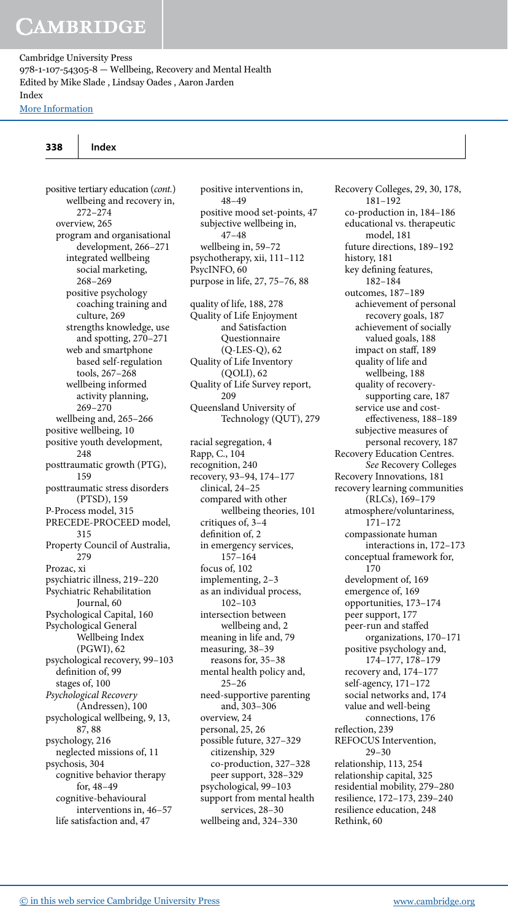## **CAMBRIDGE**

Cambridge University Press 978-1-107-54305-8 — Wellbeing, Recovery and Mental Health Edited by Mike Slade , Lindsay Oades , Aaron Jarden Index [More Information](www.cambridge.org/9781107543058)

positive tertiary education (*cont.*) wellbeing and recovery in, 272–274 overview, 265 program and organisational development, 266–271 integrated wellbeing social marketing, 268–269 positive psychology coaching training and culture, 269 strengths knowledge, use and spotting, 270–271 web and smartphone based self-regulation tools, 267–268 wellbeing informed activity planning, 269–270 wellbeing and, 265–266 positive wellbeing, 10 positive youth development, 248 posttraumatic growth (PTG), 159 posttraumatic stress disorders (PTSD), 159 P-Process model, 315 PRECEDE-PROCEED model, 315 Property Council of Australia, 279 Prozac, xi psychiatric illness, 219–220 Psychiatric Rehabilitation Journal, 60 Psychological Capital, 160 Psychological General Wellbeing Index (PGWI), 62 psychological recovery, 99–103 definition of, 99 stages of, 100 *Psychological Recovery* (Andressen), 100 psychological wellbeing, 9, 13, 87 , 88 psychology, 216 neglected missions of, 11 psychosis, 304 cognitive behavior therapy for, 48–49 cognitive-behavioural interventions in, 46–57 life satisfaction and, 47

 positive interventions in, 48–49 positive mood set-points, 47 subjective wellbeing in, 47–48 wellbeing in, 59–72 psychotherapy, xii, 111-112 PsycINFO, 60 purpose in life, 27, 75-76, 88 quality of life, 188, 278 Quality of Life Enjoyment and Satisfaction Questionnaire (Q-LES-Q), 62 Quality of Life Inventory (QOLI), 62 Quality of Life Survey report, 209 Queensland University of Technology (QUT), 279 racial segregation, 4 Rapp, C., 104 recognition, 240 recovery, 93–94 , 174–177 clinical, 24–25 compared with other wellbeing theories, 101 critiques of, 3–4 definition of, 2 in emergency services, 157–164 focus of, 102 implementing, 2–3 as an individual process, 102–103 intersection between wellbeing and, 2 meaning in life and, 79 measuring, 38–39 reasons for, 35–38 mental health policy and, 25–26 need-supportive parenting and, 303–306 overview, 24 personal, 25, 26 possible future, 327–329 citizenship, 329 co-production, 327–328 peer support, 328–329 psychological, 99–103 support from mental health services, 28–30 wellbeing and, 324–330

Recovery Colleges, 29, 30, 178, 181–192 co-production in, 184–186 educational vs. therapeutic model, 181 future directions, 189–192 history, 181 key defining features, 182–184 outcomes, 187–189 achievement of personal recovery goals, 187 achievement of socially valued goals, 188 impact on staff, 189 quality of life and wellbeing, 188 quality of recoverysupporting care, 187 service use and costeffectiveness, 188-189 subjective measures of personal recovery, 187 Recovery Education Centres. *See* Recovery Colleges Recovery Innovations, 181 recovery learning communities (RLCs), 169–179 atmosphere/voluntariness, 171–172 compassionate human interactions in, 172–173 conceptual framework for, 170 development of, 169 emergence of, 169 opportunities, 173–174 peer support, 177 peer-run and staffed organizations, 170–171 positive psychology and, 174–177 , 178–179 recovery and, 174–177 self-agency, 171–172 social networks and, 174 value and well-being connections, 176 reflection, 239 REFOCUS Intervention, 29–30 relationship, 113, 254 relationship capital, 325 residential mobility, 279–280 resilience, 172–173 , 239–240 resilience education, 248 Rethink, 60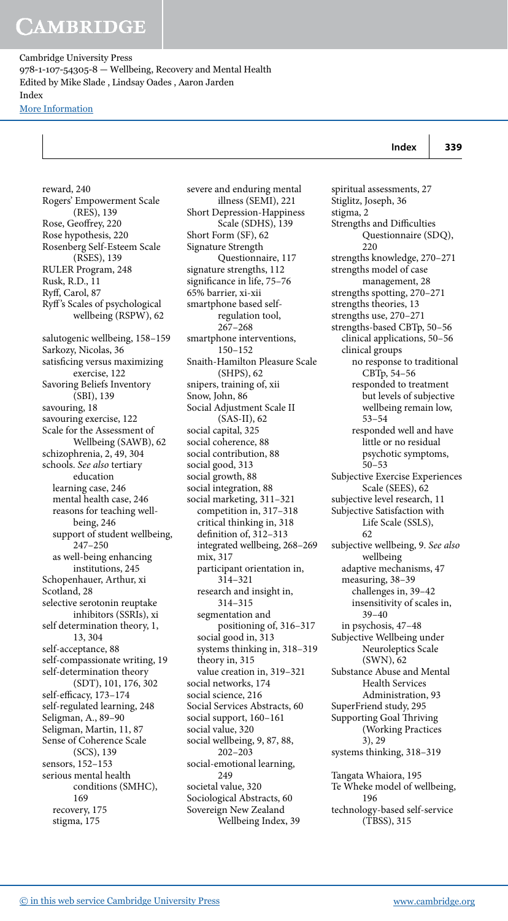reward, 240

Cambridge University Press 978-1-107-54305-8 — Wellbeing, Recovery and Mental Health Edited by Mike Slade , Lindsay Oades , Aaron Jarden Index [More Information](www.cambridge.org/9781107543058)

**Index 339**

 Rogers' Empowerment Scale (RES), 139 Rose, Geoffrey, 220 Rose hypothesis, 220 Rosenberg Self-Esteem Scale (RSES), 139 RULER Program, 248 Rusk, R.D., 11 Ryff, Carol, 87 Ryf 's Scales of psychological wellbeing (RSPW), 62 salutogenic wellbeing, 158–159 Sarkozy, Nicolas, 36 satisficing versus maximizing exercise, 122 Savoring Beliefs Inventory (SBI), 139 savouring, 18 savouring exercise, 122 Scale for the Assessment of Wellbeing (SAWB), 62 schizophrenia, 2, 49, 304 schools. *See also* tertiary education learning case, 246 mental health case, 246 reasons for teaching wellbeing, 246 support of student wellbeing, 247–250 as well-being enhancing institutions, 245 Schopenhauer, Arthur, xi Scotland, 28 selective serotonin reuptake inhibitors (SSRIs), xi self determination theory, 1, 13 , 304 self-acceptance, 88 self-compassionate writing, 19 self-determination theory (SDT), 101, 176, 302 self-efficacy, 173-174 self-regulated learning, 248 Seligman, A., 89–90 Seligman, Martin, 11, 87 Sense of Coherence Scale (SCS), 139 sensors, 152–153 serious mental health conditions (SMHC), 169 recovery, 175 stigma, 175

 severe and enduring mental illness (SEMI), 221 Short Depression-Happiness Scale (SDHS), 139 Short Form (SF), 62 Signature Strength Questionnaire, 117 signature strengths, 112 significance in life, 75-76 65% barrier, xi-xii smartphone based selfregulation tool, 267–268 smartphone interventions, 150–152 Snaith-Hamilton Pleasure Scale (SHPS), 62 snipers, training of, xii Snow, John, 86 Social Adjustment Scale II (SAS-II), 62 social capital, 325 social coherence, 88 social contribution, 88 social good, 313 social growth, 88 social integration, 88 social marketing, 311–321 competition in, 317–318 critical thinking in, 318 definition of,  $312-313$  integrated wellbeing, 268–269 mix, 317 participant orientation in, 314–321 research and insight in, 314–315 segmentation and positioning of, 316–317 social good in, 313 systems thinking in, 318–319 theory in, 315 value creation in, 319–321 social networks, 174 social science, 216 Social Services Abstracts, 60 social support, 160–161 social value, 320 social wellbeing, 9, 87, 88, 202–203 social-emotional learning, 249 societal value, 320 Sociological Abstracts, 60 Sovereign New Zealand Wellbeing Index, 39

 spiritual assessments, 27 Stiglitz, Joseph, 36 stigma, 2 Strengths and Difficulties Questionnaire (SDQ), 220 strengths knowledge, 270–271 strengths model of case management, 28 strengths spotting, 270–271 strengths theories, 13 strengths use, 270–271 strengths-based CBTp, 50–56 clinical applications, 50–56 clinical groups no response to traditional CBTp, 54–56 responded to treatment but levels of subjective wellbeing remain low, 53–54 responded well and have little or no residual psychotic symptoms, 50–53 Subjective Exercise Experiences Scale (SEES), 62 subjective level research, 11 Subjective Satisfaction with Life Scale (SSLS), 62 subjective wellbeing, 9 . *See also* wellbeing adaptive mechanisms, 47 measuring, 38–39 challenges in, 39–42 insensitivity of scales in, 39–40 in psychosis, 47–48 Subjective Wellbeing under Neuroleptics Scale (SWN), 62 Substance Abuse and Mental Health Services Administration, 93 SuperFriend study, 295 Supporting Goal Thriving (Working Practices 3), 29 systems thinking, 318–319 Tangata Whaiora, 195 Te Wheke model of wellbeing, 196 technology-based self-service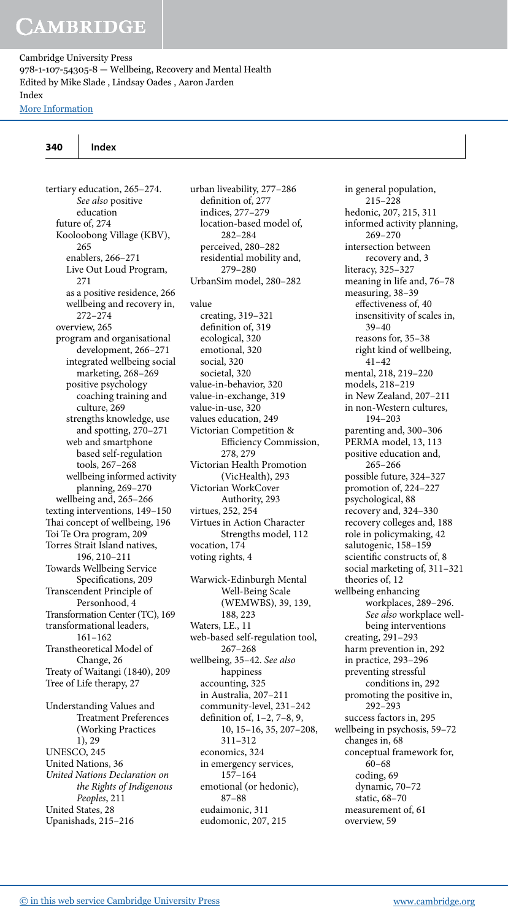### [More Information](www.cambridge.org/9781107543058)

| 340<br>Index |
|--------------|
|--------------|

tertiary education, 265-274. *See also* positive education future of, 274 Kooloobong Village (KBV), 265 enablers, 266–271 Live Out Loud Program, 271 as a positive residence, 266 wellbeing and recovery in, 272–274 overview, 265 program and organisational development, 266–271 integrated wellbeing social marketing, 268–269 positive psychology coaching training and culture, 269 strengths knowledge, use and spotting, 270–271 web and smartphone based self-regulation tools, 267–268 wellbeing informed activity planning, 269–270 wellbeing and, 265–266 texting interventions, 149–150 Thai concept of wellbeing, 196 Toi Te Ora program, 209 Torres Strait Island natives, 196 , 210–211 Towards Wellbeing Service Specifications, 209 Transcendent Principle of Personhood, 4 Transformation Center (TC), 169 transformational leaders, 161–162 Transtheoretical Model of Change, 26 Treaty of Waitangi (1840), 209 Tree of Life therapy, 27 Understanding Values and Treatment Preferences (Working Practices 1), 29 UNESCO, 245 United Nations, 36 *United Nations Declaration on the Rights of Indigenous Peoples* , 211

 urban liveability, 277–286 definition of, 277 indices, 277–279 location-based model of, 282–284 perceived, 280–282 residential mobility and, 279–280 UrbanSim model, 280–282 value creating, 319–321 definition of, 319 ecological, 320 emotional, 320 social, 320 societal, 320 value-in-behavior, 320 value-in-exchange, 319 value-in-use, 320 values education, 249 Victorian Competition & Efficiency Commission, 278 , 279 Victorian Health Promotion (VicHealth), 293 Victorian WorkCover Authority, 293 virtues, 252, 254 Virtues in Action Character Strengths model, 112 vocation, 174 voting rights, 4 Warwick-Edinburgh Mental Well-Being Scale (WEMWBS), 39, 139, 188, 223 Waters, LE., 11 web-based self-regulation tool, 267–268 wellbeing, 35–42 . *See also* happiness accounting, 325 in Australia, 207–211 community-level, 231–242 definition of, 1-2, 7-8, 9, 10, 15-16, 35, 207-208, 311–312 economics, 324 in emergency services, 157–164 emotional (or hedonic), 87–88 eudaimonic, 311 eudomonic, 207, 215

 in general population, 215–228 hedonic, 207, 215, 311 informed activity planning, 269–270 intersection between recovery and, 3 literacy, 325–327 meaning in life and, 76–78 measuring, 38–39 effectiveness of, 40 insensitivity of scales in, 39–40 reasons for, 35–38 right kind of wellbeing, 41–42 mental, 218 , 219–220 models, 218–219 in New Zealand, 207–211 in non-Western cultures, 194–203 parenting and, 300–306 PERMA model, 13, 113 positive education and, 265–266 possible future, 324–327 promotion of, 224–227 psychological, 88 recovery and, 324–330 recovery colleges and, 188 role in policymaking, 42 salutogenic, 158–159 scientific constructs of, 8 social marketing of, 311–321 theories of, 12 wellbeing enhancing workplaces, 289-296. *See also* workplace wellbeing interventions creating, 291–293 harm prevention in, 292 in practice, 293–296 preventing stressful conditions in, 292 promoting the positive in, 292–293 success factors in, 295 wellbeing in psychosis, 59–72 changes in, 68 conceptual framework for, 60–68 coding, 69 dynamic, 70–72 static, 68–70 measurement of, 61 overview, 59

 United States, 28 Upanishads, 215–216